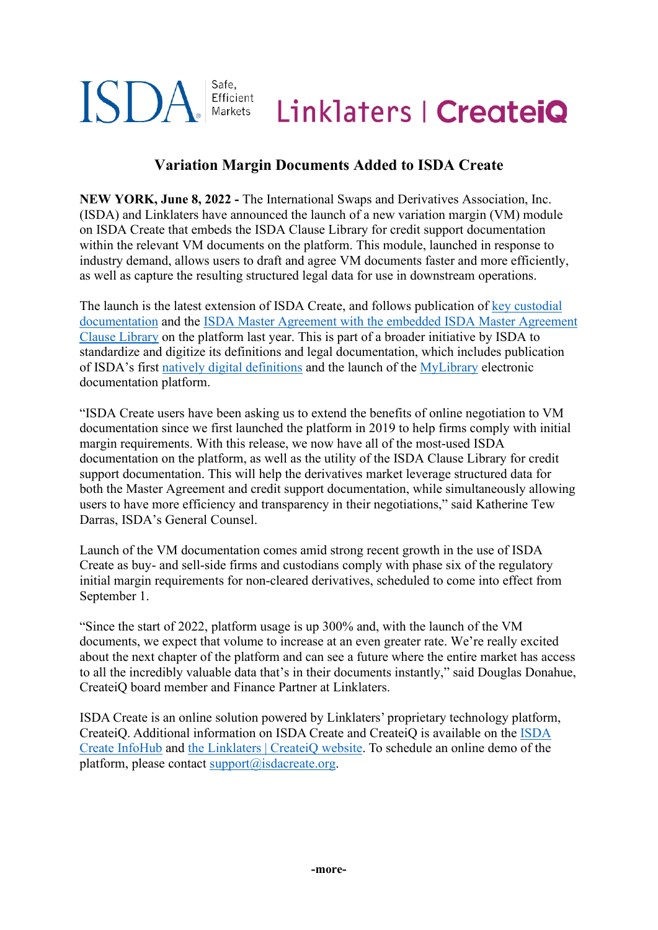#### Safe. ISD/ Efficient Linklaters | Createio Markets

# **Variation Margin Documents Added to ISDA Create**

**NEW YORK, June 8, 2022 -** The International Swaps and Derivatives Association, Inc. (ISDA) and Linklaters have announced the launch of a new variation margin (VM) module on ISDA Create that embeds the ISDA Clause Library for credit support documentation within the relevant VM documents on the platform. This module, launched in response to industry demand, allows users to draft and agree VM documents faster and more efficiently, as well as capture the resulting structured legal data for use in downstream operations.

The launch is the latest extension of ISDA Create, and follows publication of [key custodial](https://www.isda.org/2021/11/24/bny-mellon-publishes-custody-documents-for-negotiation-on-isda-create/)  [documentation](https://www.isda.org/2021/11/24/bny-mellon-publishes-custody-documents-for-negotiation-on-isda-create/) and the [ISDA Master Agreement with the embedded ISDA Master Agreement](https://www.isda.org/2021/01/21/isda-master-agreement-and-isda-clause-library-added-to-isda-create/) [Clause Library](https://www.isda.org/2021/01/21/isda-master-agreement-and-isda-clause-library-added-to-isda-create/) on the platform last year. This is part of a broader initiative by ISDA to standardize and digitize its definitions and legal documentation, which includes publication of ISDA's first [natively digital definitions](https://www.isda.org/2021/06/14/isda-publishes-first-digital-definitions-for-interest-rate-derivatives/) and the launch of the [MyLibrary](https://www.isda.org/2021/06/14/isda-launches-mylibrary-digital-documentation-platform/) electronic documentation platform.

"ISDA Create users have been asking us to extend the benefits of online negotiation to VM documentation since we first launched the platform in 2019 to help firms comply with initial margin requirements. With this release, we now have all of the most-used ISDA documentation on the platform, as well as the utility of the ISDA Clause Library for credit support documentation. This will help the derivatives market leverage structured data for both the Master Agreement and credit support documentation, while simultaneously allowing users to have more efficiency and transparency in their negotiations," said Katherine Tew Darras, ISDA's General Counsel.

Launch of the VM documentation comes amid strong recent growth in the use of ISDA Create as buy- and sell-side firms and custodians comply with phase six of the regulatory initial margin requirements for non-cleared derivatives, scheduled to come into effect from September 1.

"Since the start of 2022, platform usage is up 300% and, with the launch of the VM documents, we expect that volume to increase at an even greater rate. We're really excited about the next chapter of the platform and can see a future where the entire market has access to all the incredibly valuable data that's in their documents instantly," said Douglas Donahue, CreateiQ board member and Finance Partner at Linklaters.

ISDA Create is an online solution powered by Linklaters' proprietary technology platform, CreateiQ. Additional information on ISDA Create and CreateiQ is available on the [ISDA](https://www.isda.org/2020/09/10/isda-create-infohub/)  [Create InfoHub](https://www.isda.org/2020/09/10/isda-create-infohub/) and the Linklaters | CreateiQ website. To schedule an online demo of the platform, please contact  $support@isdacreate.org$ .